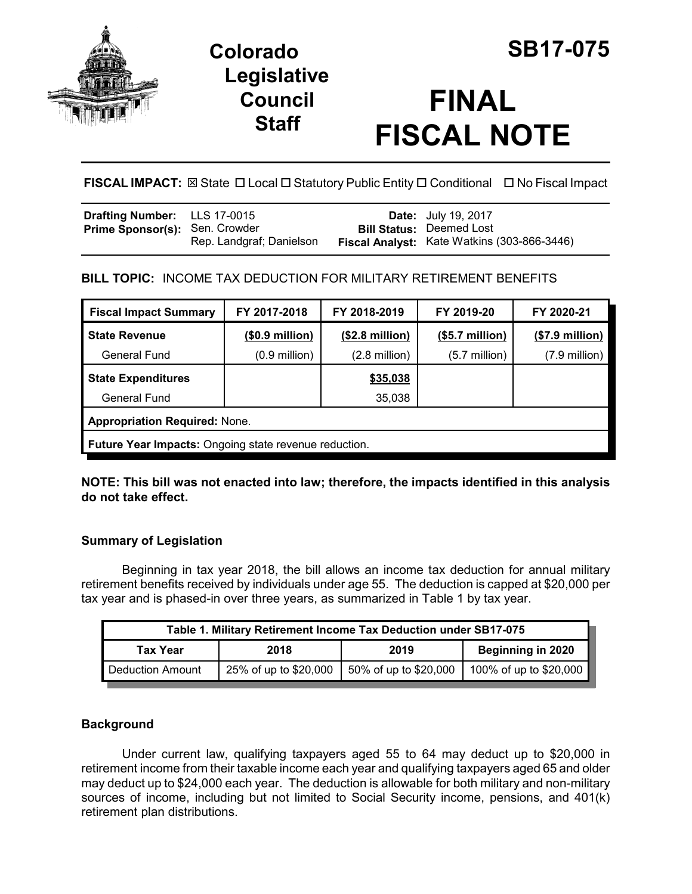

# **Colorado SB17-075 Legislative Council Staff**

# **FINAL FISCAL NOTE**

**FISCAL IMPACT:** ⊠ State **D** Local **D** Statutory Public Entity **D** Conditional **D** No Fiscal Impact

| <b>Drafting Number:</b> LLS 17-0015   |                          | <b>Date:</b> July 19, 2017                                                     |
|---------------------------------------|--------------------------|--------------------------------------------------------------------------------|
| <b>Prime Sponsor(s): Sen. Crowder</b> | Rep. Landgraf; Danielson | <b>Bill Status: Deemed Lost</b><br>Fiscal Analyst: Kate Watkins (303-866-3446) |

# **BILL TOPIC:** INCOME TAX DEDUCTION FOR MILITARY RETIREMENT BENEFITS

| <b>Fiscal Impact Summary</b>                          | FY 2017-2018            | FY 2018-2019             | FY 2019-20      | FY 2020-21       |  |
|-------------------------------------------------------|-------------------------|--------------------------|-----------------|------------------|--|
| <b>State Revenue</b>                                  | $($ \$0.9 million $)$   | $($2.8 \text{ million})$ | (\$5.7 million) | $($7.9$ million) |  |
| <b>General Fund</b>                                   | $(0.9 \text{ million})$ | $(2.8 \text{ million})$  | $(5.7$ million) | (7.9 million)    |  |
| <b>State Expenditures</b>                             |                         | \$35,038                 |                 |                  |  |
| General Fund                                          |                         | 35,038                   |                 |                  |  |
| <b>Appropriation Required: None.</b>                  |                         |                          |                 |                  |  |
| Future Year Impacts: Ongoing state revenue reduction. |                         |                          |                 |                  |  |

**NOTE: This bill was not enacted into law; therefore, the impacts identified in this analysis do not take effect.**

# **Summary of Legislation**

Beginning in tax year 2018, the bill allows an income tax deduction for annual military retirement benefits received by individuals under age 55. The deduction is capped at \$20,000 per tax year and is phased-in over three years, as summarized in Table 1 by tax year.

| Table 1. Military Retirement Income Tax Deduction under SB17-075 |                       |                       |                          |
|------------------------------------------------------------------|-----------------------|-----------------------|--------------------------|
| <b>Tax Year</b>                                                  | 2018                  | 2019                  | <b>Beginning in 2020</b> |
| Deduction Amount                                                 | 25% of up to \$20,000 | 50% of up to \$20,000 | 100% of up to \$20,000   |

# **Background**

Under current law, qualifying taxpayers aged 55 to 64 may deduct up to \$20,000 in retirement income from their taxable income each year and qualifying taxpayers aged 65 and older may deduct up to \$24,000 each year. The deduction is allowable for both military and non-military sources of income, including but not limited to Social Security income, pensions, and 401(k) retirement plan distributions.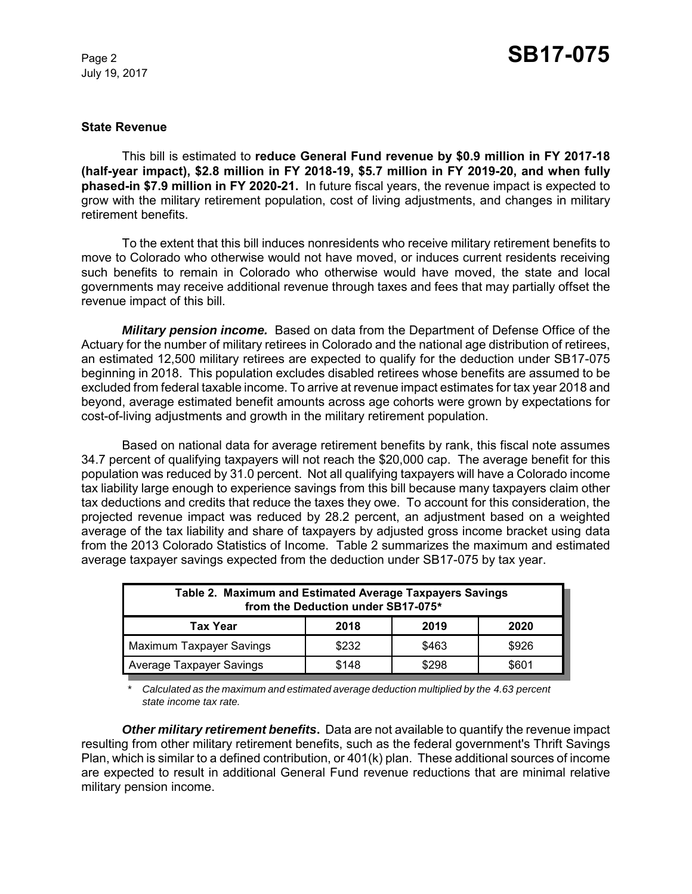July 19, 2017

### **State Revenue**

This bill is estimated to **reduce General Fund revenue by \$0.9 million in FY 2017-18 (half-year impact), \$2.8 million in FY 2018-19, \$5.7 million in FY 2019-20, and when fully phased-in \$7.9 million in FY 2020-21.** In future fiscal years, the revenue impact is expected to grow with the military retirement population, cost of living adjustments, and changes in military retirement benefits.

To the extent that this bill induces nonresidents who receive military retirement benefits to move to Colorado who otherwise would not have moved, or induces current residents receiving such benefits to remain in Colorado who otherwise would have moved, the state and local governments may receive additional revenue through taxes and fees that may partially offset the revenue impact of this bill.

*Military pension income.* Based on data from the Department of Defense Office of the Actuary for the number of military retirees in Colorado and the national age distribution of retirees, an estimated 12,500 military retirees are expected to qualify for the deduction under SB17-075 beginning in 2018. This population excludes disabled retirees whose benefits are assumed to be excluded from federal taxable income. To arrive at revenue impact estimates for tax year 2018 and beyond, average estimated benefit amounts across age cohorts were grown by expectations for cost-of-living adjustments and growth in the military retirement population.

Based on national data for average retirement benefits by rank, this fiscal note assumes 34.7 percent of qualifying taxpayers will not reach the \$20,000 cap. The average benefit for this population was reduced by 31.0 percent. Not all qualifying taxpayers will have a Colorado income tax liability large enough to experience savings from this bill because many taxpayers claim other tax deductions and credits that reduce the taxes they owe. To account for this consideration, the projected revenue impact was reduced by 28.2 percent, an adjustment based on a weighted average of the tax liability and share of taxpayers by adjusted gross income bracket using data from the 2013 Colorado Statistics of Income. Table 2 summarizes the maximum and estimated average taxpayer savings expected from the deduction under SB17-075 by tax year.

| Table 2. Maximum and Estimated Average Taxpayers Savings<br>from the Deduction under SB17-075* |       |       |       |  |
|------------------------------------------------------------------------------------------------|-------|-------|-------|--|
| Tax Year                                                                                       | 2018  | 2019  | 2020  |  |
| Maximum Taxpayer Savings                                                                       | \$232 | \$463 | \$926 |  |
| Average Taxpayer Savings                                                                       | \$148 | \$298 | \$601 |  |

*\* Calculated as the maximum and estimated average deduction multiplied by the 4.63 percent state income tax rate.*

*Other military retirement benefits***.** Data are not available to quantify the revenue impact resulting from other military retirement benefits, such as the federal government's Thrift Savings Plan, which is similar to a defined contribution, or 401(k) plan. These additional sources of income are expected to result in additional General Fund revenue reductions that are minimal relative military pension income.